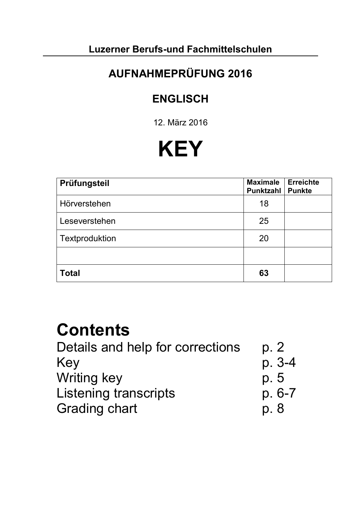### **Luzerner Berufs-und Fachmittelschulen**

## **AUFNAHMEPRÜFUNG 2016**

## **ENGLISCH**

12. März 2016

# **KEY**

| Prüfungsteil   | <b>Maximale</b><br><b>Punktzahl</b> | <b>Erreichte</b><br><b>Punkte</b> |
|----------------|-------------------------------------|-----------------------------------|
| Hörverstehen   | 18                                  |                                   |
| Leseverstehen  | 25                                  |                                   |
| Textproduktion | 20                                  |                                   |
|                |                                     |                                   |
| <b>Total</b>   | 63                                  |                                   |

# **Contents**

| Details and help for corrections | p. 2   |
|----------------------------------|--------|
| Key                              | p. 3-4 |
| <b>Writing key</b>               | p. 5   |
| <b>Listening transcripts</b>     | p. 6-7 |
| <b>Grading chart</b>             | p. 8   |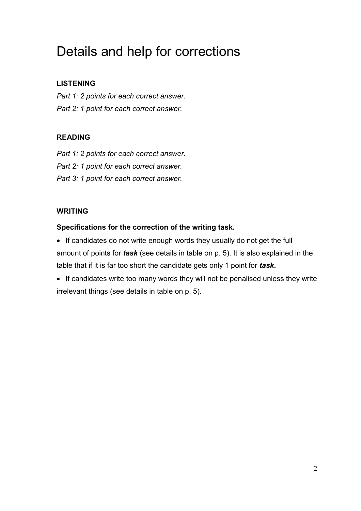## Details and help for corrections

#### **LISTENING**

*Part 1: 2 points for each correct answer. Part 2: 1 point for each correct answer.*

#### **READING**

*Part 1: 2 points for each correct answer. Part 2: 1 point for each correct answer. Part 3: 1 point for each correct answer.*

#### **WRITING**

#### **Specifications for the correction of the writing task.**

- If candidates do not write enough words they usually do not get the full amount of points for *task* (see details in table on p. 5). It is also explained in the table that if it is far too short the candidate gets only 1 point for *task.*
- If candidates write too many words they will not be penalised unless they write irrelevant things (see details in table on p. 5).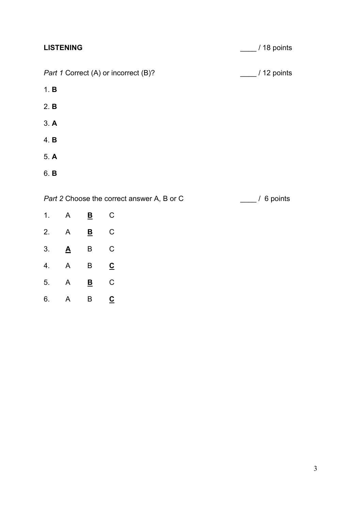**LISTENING** \_\_\_\_ / 18 points

*Part 1* Correct (A) or incorrect (B)? \_\_\_\_ / 12 points

- 1. **B**
- 2. **B**
- 3. **A**
- 4. **B**
- 5. **A**
- 6. **B**

*Part 2* Choose the correct answer A, B or C \_\_\_\_ / 6 points

1. A **B** C 2. A **B** C 3. **A** B C 4. A B **C** 5. A **B** C 6. A B **C**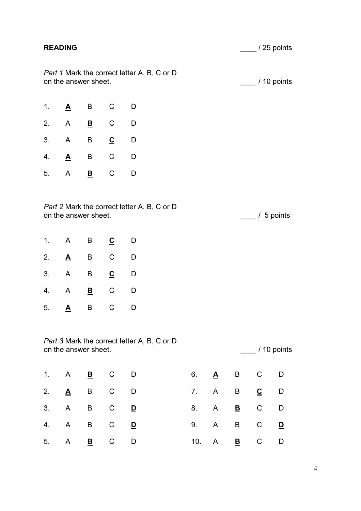*Part 1* Mark the correct letter A, B, C or D on the answer sheet.  $\qquad \qquad$  / 10 points

| 1. | $\mathbf{A}$             | B                       | $\mathsf C$              | D |
|----|--------------------------|-------------------------|--------------------------|---|
| 2. | $\mathsf{A}$             | $\overline{\mathbf{B}}$ | $\mathsf C$              | D |
| 3. | A                        | B <sub>a</sub>          | $\underline{\mathbf{C}}$ | D |
| 4. | $\underline{\mathbf{A}}$ | B                       | $\mathsf C$              | D |
| 5. | A                        | $\overline{\mathbf{B}}$ | $\mathsf{C}$             | D |

*Part 2* Mark the correct letter A, B, C or D on the answer sheet.  $\qquad \qquad \qquad$  / 5 points

- 1. A B **C** D 2. **A** B C D 3. A B **C** D 4. A **B** C D
- 5. **A** B C D

*Part 3* Mark the correct letter A, B, C or D on the answer sheet.

 $\frac{1}{\sqrt{2}}$  / 10 points

|                    | 1. A <u>B</u> C D |              |          | 6. |          | $A$ B C D          |              |
|--------------------|-------------------|--------------|----------|----|----------|--------------------|--------------|
| 2. $\underline{A}$ | B C               |              | <b>D</b> | 7. | A B      | $\overline{c}$ D   |              |
|                    | 3. A B C          |              | $\Box$   | 8. |          | A <b>B</b> C D     |              |
| 4. A               | B C               |              | $\Box$   |    | 9. A B C |                    | $\mathbf{D}$ |
| 5. A               |                   | <b>B</b> C D |          |    |          | 10. A <b>B</b> C D |              |

**READING** / 25 points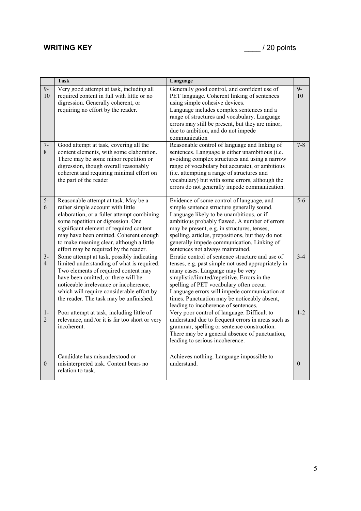### **WRITING KEY** \_\_\_\_ / 20 points

|                        | <b>Task</b>                                                                                                                                                                                                                                                                                                                             | Language                                                                                                                                                                                                                                                                                                                                                                      |                  |
|------------------------|-----------------------------------------------------------------------------------------------------------------------------------------------------------------------------------------------------------------------------------------------------------------------------------------------------------------------------------------|-------------------------------------------------------------------------------------------------------------------------------------------------------------------------------------------------------------------------------------------------------------------------------------------------------------------------------------------------------------------------------|------------------|
| $9 -$<br>10            | Very good attempt at task, including all<br>required content in full with little or no<br>digression. Generally coherent, or<br>requiring no effort by the reader.                                                                                                                                                                      | Generally good control, and confident use of<br>PET language. Coherent linking of sentences<br>using simple cohesive devices.<br>Language includes complex sentences and a<br>range of structures and vocabulary. Language<br>errors may still be present, but they are minor,<br>due to ambition, and do not impede<br>communication                                         | $9 -$<br>10      |
| $7-$<br>8              | Good attempt at task, covering all the<br>content elements, with some elaboration.<br>There may be some minor repetition or<br>digression, though overall reasonably<br>coherent and requiring minimal effort on<br>the part of the reader                                                                                              | Reasonable control of language and linking of<br>sentences. Language is either unambitious (i.e.<br>avoiding complex structures and using a narrow<br>range of vocabulary but accurate), or ambitious<br>(i.e. attempting a range of structures and<br>vocabulary) but with some errors, although the<br>errors do not generally impede communication.                        | $7 - 8$          |
| $5-$<br>6              | Reasonable attempt at task. May be a<br>rather simple account with little<br>elaboration, or a fuller attempt combining<br>some repetition or digression. One<br>significant element of required content<br>may have been omitted. Coherent enough<br>to make meaning clear, although a little<br>effort may be required by the reader. | Evidence of some control of language, and<br>simple sentence structure generally sound.<br>Language likely to be unambitious, or if<br>ambitious probably flawed. A number of errors<br>may be present, e.g. in structures, tenses,<br>spelling, articles, prepositions, but they do not<br>generally impede communication. Linking of<br>sentences not always maintained.    | $\overline{5-6}$ |
| $3-$<br>$\overline{4}$ | Some attempt at task, possibly indicating<br>limited understanding of what is required.<br>Two elements of required content may<br>have been omitted, or there will be<br>noticeable irrelevance or incoherence,<br>which will require considerable effort by<br>the reader. The task may be unfinished.                                | Erratic control of sentence structure and use of<br>tenses, e.g. past simple not used appropriately in<br>many cases. Language may be very<br>simplistic/limited/repetitive. Errors in the<br>spelling of PET vocabulary often occur.<br>Language errors will impede communication at<br>times. Punctuation may be noticeably absent,<br>leading to incoherence of sentences. | $3-4$            |
| $1-$<br>$\overline{2}$ | Poor attempt at task, including little of<br>relevance, and /or it is far too short or very<br>incoherent.                                                                                                                                                                                                                              | Very poor control of language. Difficult to<br>understand due to frequent errors in areas such as<br>grammar, spelling or sentence construction.<br>There may be a general absence of punctuation,<br>leading to serious incoherence.                                                                                                                                         | $1-2$            |
| $\overline{0}$         | Candidate has misunderstood or<br>misinterpreted task. Content bears no<br>relation to task.                                                                                                                                                                                                                                            | Achieves nothing. Language impossible to<br>understand.                                                                                                                                                                                                                                                                                                                       | $\theta$         |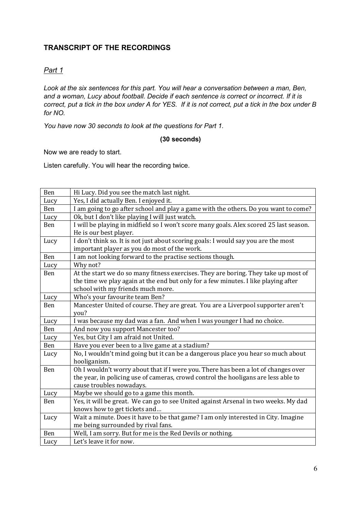#### **TRANSCRIPT OF THE RECORDINGS**

#### *Part 1*

*Look at the six sentences for this part. You will hear a conversation between a man, Ben, and a woman, Lucy about football. Decide if each sentence is correct or incorrect. If it is correct, put a tick in the box under A for YES. If it is not correct, put a tick in the box under B for NO.* 

*You have now 30 seconds to look at the questions for Part 1.* 

#### **(30 seconds)**

Now we are ready to start.

Listen carefully. You will hear the recording twice.

| Ben  | Hi Lucy. Did you see the match last night.                                             |
|------|----------------------------------------------------------------------------------------|
| Lucy | Yes, I did actually Ben. I enjoyed it.                                                 |
| Ben  | I am going to go after school and play a game with the others. Do you want to come?    |
| Lucy | Ok, but I don't like playing I will just watch.                                        |
| Ben  | I will be playing in midfield so I won't score many goals. Alex scored 25 last season. |
|      | He is our best player.                                                                 |
| Lucy | I don't think so. It is not just about scoring goals: I would say you are the most     |
|      | important player as you do most of the work.                                           |
| Ben  | I am not looking forward to the practise sections though.                              |
| Lucy | Why not?                                                                               |
| Ben  | At the start we do so many fitness exercises. They are boring. They take up most of    |
|      | the time we play again at the end but only for a few minutes. I like playing after     |
|      | school with my friends much more.                                                      |
| Lucy | Who's your favourite team Ben?                                                         |
| Ben  | Mancester United of course. They are great. You are a Liverpool supporter aren't       |
|      | you?                                                                                   |
| Lucy | I was because my dad was a fan. And when I was younger I had no choice.                |
| Ben  | And now you support Mancester too?                                                     |
| Lucy | Yes, but City I am afraid not United.                                                  |
| Ben  | Have you ever been to a live game at a stadium?                                        |
| Lucy |                                                                                        |
|      | No, I wouldn't mind going but it can be a dangerous place you hear so much about       |
|      | hooliganism.                                                                           |
| Ben  | Oh I wouldn't worry about that if I were you. There has been a lot of changes over     |
|      | the year, in policing use of cameras, crowd control the hooligans are less able to     |
|      | cause troubles nowadays.                                                               |
| Lucy | Maybe we should go to a game this month.                                               |
| Ben  | Yes, it will be great. We can go to see United against Arsenal in two weeks. My dad    |
|      | knows how to get tickets and                                                           |
| Lucy | Wait a minute. Does it have to be that game? I am only interested in City. Imagine     |
|      | me being surrounded by rival fans.                                                     |
| Ben  | Well, I am sorry. But for me is the Red Devils or nothing.                             |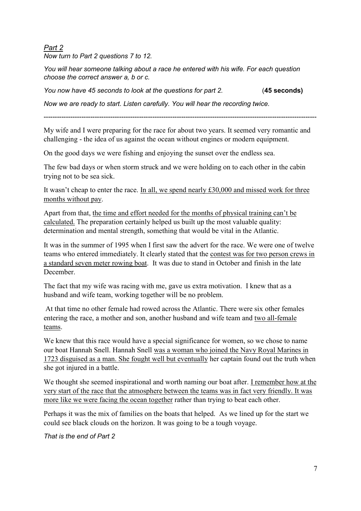#### *Part 2*

*Now turn to Part 2 questions 7 to 12.*

*You will hear someone talking about a race he entered with his wife. For each question choose the correct answer a, b or c.* 

*You now have 45 seconds to look at the questions for part 2.* (**45 seconds)**

*Now we are ready to start. Listen carefully. You will hear the recording twice.* 

My wife and I were preparing for the race for about two years. It seemed very romantic and challenging - the idea of us against the ocean without engines or modern equipment.

---------------------------------------------------------------------------------------------------------------------------

On the good days we were fishing and enjoying the sunset over the endless sea.

The few bad days or when storm struck and we were holding on to each other in the cabin trying not to be sea sick.

It wasn't cheap to enter the race. In all, we spend nearly £30,000 and missed work for three months without pay.

Apart from that, the time and effort needed for the months of physical training can't be calculated. The preparation certainly helped us built up the most valuable quality: determination and mental strength, something that would be vital in the Atlantic.

It was in the summer of 1995 when I first saw the advert for the race. We were one of twelve teams who entered immediately. It clearly stated that the contest was for two person crews in a standard seven meter rowing boat. It was due to stand in October and finish in the late **December** 

The fact that my wife was racing with me, gave us extra motivation. I knew that as a husband and wife team, working together will be no problem.

At that time no other female had rowed across the Atlantic. There were six other females entering the race, a mother and son, another husband and wife team and two all-female teams.

We knew that this race would have a special significance for women, so we chose to name our boat Hannah Snell. Hannah Snell was a woman who joined the Navy Royal Marines in 1723 disguised as a man. She fought well but eventually her captain found out the truth when she got injured in a battle.

We thought she seemed inspirational and worth naming our boat after. I remember how at the very start of the race that the atmosphere between the teams was in fact very friendly. It was more like we were facing the ocean together rather than trying to beat each other.

Perhaps it was the mix of families on the boats that helped. As we lined up for the start we could see black clouds on the horizon. It was going to be a tough voyage.

*That is the end of Part 2*